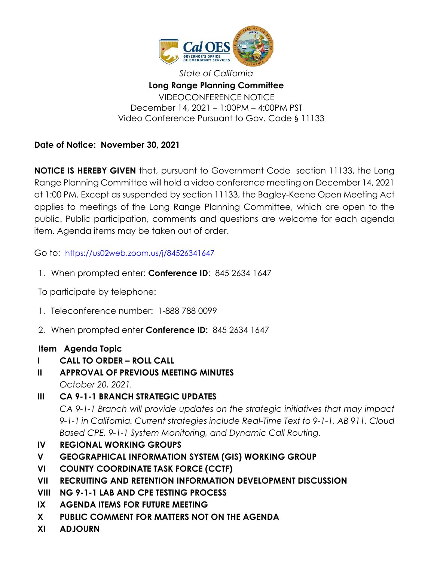

*State of California* **Long Range Planning Committee** VIDEOCONFERENCE NOTICE December 14, 2021 – 1:00PM – 4:00PM PST Video Conference Pursuant to Gov. Code § 11133

**Date of Notice: November 30, 2021**

**NOTICE IS HEREBY GIVEN** that, pursuant to Government Code section 11133, the Long Range Planning Committee will hold a video conference meeting on December 14, 2021 at 1:00 PM. Except as suspended by section 11133, the Bagley-Keene Open Meeting Act applies to meetings of the Long Range Planning Committee, which are open to the public. Public participation, comments and questions are welcome for each agenda item. Agenda items may be taken out of order.

Go to: <https://us02web.zoom.us/j/84526341647>

1. When prompted enter: **Conference ID**: 845 2634 1647

To participate by telephone:

- 1. Teleconference number: 1-888 788 0099
- 2. When prompted enter **Conference ID:** 845 2634 1647

## **Item Agenda Topic**

- **I CALL TO ORDER – ROLL CALL**
- **II APPROVAL OF PREVIOUS MEETING MINUTES** *October 20, 2021.*
- **III CA 9-1-1 BRANCH STRATEGIC UPDATES** *CA 9-1-1 Branch will provide updates on the strategic initiatives that may impact 9-1-1 in California. Current strategies include Real-Time Text to 9-1-1, AB 911, Cloud*

*Based CPE, 9-1-1 System Monitoring, and Dynamic Call Routing.* 

- **IV REGIONAL WORKING GROUPS**
- **V GEOGRAPHICAL INFORMATION SYSTEM (GIS) WORKING GROUP**
- **VI COUNTY COORDINATE TASK FORCE (CCTF)**
- **VII RECRUITING AND RETENTION INFORMATION DEVELOPMENT DISCUSSION**
- **VIII NG 9-1-1 LAB AND CPE TESTING PROCESS**
- **IX AGENDA ITEMS FOR FUTURE MEETING**
- **X PUBLIC COMMENT FOR MATTERS NOT ON THE AGENDA**
- **XI ADJOURN**